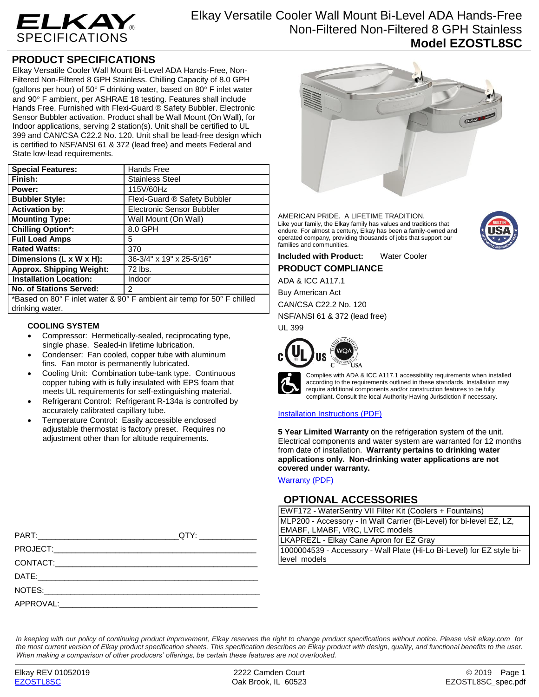

# **PRODUCT SPECIFICATIONS**

Elkay Versatile Cooler Wall Mount Bi-Level ADA Hands-Free, Non-Filtered Non-Filtered 8 GPH Stainless. Chilling Capacity of 8.0 GPH (gallons per hour) of 50 $\degree$  F drinking water, based on 80 $\degree$  F inlet water and 90° F ambient, per ASHRAE 18 testing. Features shall include Hands Free. Furnished with Flexi-Guard ® Safety Bubbler. Electronic Sensor Bubbler activation. Product shall be Wall Mount (On Wall), for Indoor applications, serving 2 station(s). Unit shall be certified to UL 399 and CAN/CSA C22.2 No. 120. Unit shall be lead-free design which is certified to NSF/ANSI 61 & 372 (lead free) and meets Federal and State low-lead requirements.

| <b>Special Features:</b>                                               | Hands Free                   |
|------------------------------------------------------------------------|------------------------------|
| Finish:                                                                | <b>Stainless Steel</b>       |
| Power:                                                                 | 115V/60Hz                    |
| <b>Bubbler Style:</b>                                                  | Flexi-Guard ® Safety Bubbler |
| <b>Activation by:</b>                                                  | Electronic Sensor Bubbler    |
| <b>Mounting Type:</b>                                                  | Wall Mount (On Wall)         |
| <b>Chilling Option*:</b>                                               | 8.0 GPH                      |
| <b>Full Load Amps</b>                                                  | 5                            |
| <b>Rated Watts:</b>                                                    | 370                          |
| Dimensions (L $x$ W $x$ H):                                            | 36-3/4" x 19" x 25-5/16"     |
| <b>Approx. Shipping Weight:</b>                                        | 72 lbs.                      |
| <b>Installation Location:</b>                                          | Indoor                       |
| <b>No. of Stations Served:</b>                                         | $\mathcal{P}$                |
| *Based on 80° F inlet water & 90° F ambient air temp for 50° F chilled |                              |

\*Based on 80° F inlet water & 90° F ambient air temp for 50° F chilled drinking water.

### **COOLING SYSTEM**

- Compressor: Hermetically-sealed, reciprocating type, single phase. Sealed-in lifetime lubrication.
- Condenser: Fan cooled, copper tube with aluminum fins. Fan motor is permanently lubricated.
- Cooling Unit: Combination tube-tank type. Continuous copper tubing with is fully insulated with EPS foam that meets UL requirements for self-extinguishing material.
- Refrigerant Control: Refrigerant R-134a is controlled by accurately calibrated capillary tube.
- Temperature Control: Easily accessible enclosed adjustable thermostat is factory preset. Requires no adjustment other than for altitude requirements.



AMERICAN PRIDE. A LIFETIME TRADITION. Like your family, the Elkay family has values and traditions that endure. For almost a century, Elkay has been a family-owned and operated company, providing thousands of jobs that support our families and communities.

**Included with Product:** Water Cooler **PRODUCT COMPLIANCE**

ADA & ICC A117.1

Buy American Act

CAN/CSA C22.2 No. 120 NSF/ANSI 61 & 372 (lead free)

UL 399



Complies with ADA & ICC A117.1 accessibility requirements when installed according to the requirements outlined in these standards. Installation may require additional components and/or construction features to be fully compliant. Consult the local Authority Having Jurisdiction if necessary.

### [Installation Instructions \(PDF\)](http://www.elkay.com/wcsstore/lkdocs/care-cleaning-install-warranty-sheets/1000002687.pdf)

**5 Year Limited Warranty** on the refrigeration system of the unit. Electrical components and water system are warranted for 12 months from date of installation. **Warranty pertains to drinking water applications only. Non-drinking water applications are not covered under warranty.**

[Warranty](http://www.elkay.com/wcsstore/lkdocs/care-cleaning-install-warranty-sheets/96993c.pdf) (PDF)

## **OPTIONAL ACCESSORIES**

EWF172 - WaterSentry VII Filter Kit (Coolers + Fountains) MLP200 - Accessory - In Wall Carrier (Bi-Level) for bi-level EZ, LZ, EMABF, LMABF, VRC, LVRC models

LKAPREZL - Elkay Cane Apron for EZ Gray

1000004539 - Accessory - Wall Plate (Hi-Lo Bi-Level) for EZ style bilevel models

*In keeping with our policy of continuing product improvement, Elkay reserves the right to change product specifications without notice. Please visit elkay.com for the most current version of Elkay product specification sheets. This specification describes an Elkay product with design, quality, and functional benefits to the user. When making a comparison of other producers' offerings, be certain these features are not overlooked.*